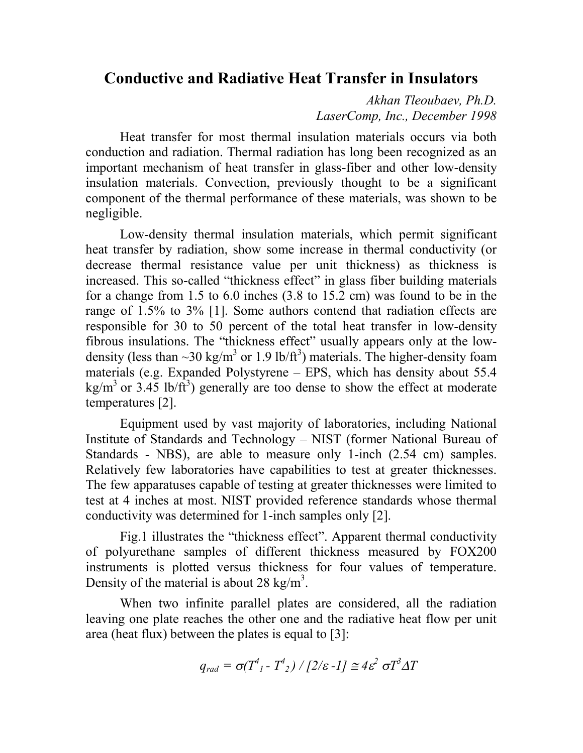## **Conductive and Radiative Heat Transfer in Insulators**

*Akhan Tleoubaev, Ph.D. LaserComp, Inc., December 1998*

Heat transfer for most thermal insulation materials occurs via both conduction and radiation. Thermal radiation has long been recognized as an important mechanism of heat transfer in glass-fiber and other low-density insulation materials. Convection, previously thought to be a significant component of the thermal performance of these materials, was shown to be negligible.

Low-density thermal insulation materials, which permit significant heat transfer by radiation, show some increase in thermal conductivity (or decrease thermal resistance value per unit thickness) as thickness is increased. This so-called "thickness effect" in glass fiber building materials for a change from 1.5 to 6.0 inches (3.8 to 15.2 cm) was found to be in the range of 1.5% to 3% [1]. Some authors contend that radiation effects are responsible for 30 to 50 percent of the total heat transfer in low-density fibrous insulations. The "thickness effect" usually appears only at the lowdensity (less than  $\sim$ 30 kg/m<sup>3</sup> or 1.9 lb/ft<sup>3</sup>) materials. The higher-density foam materials (e.g. Expanded Polystyrene – EPS, which has density about 55.4 kg/m<sup>3</sup> or 3.45 lb/ft<sup>3</sup>) generally are too dense to show the effect at moderate temperatures [2].

Equipment used by vast majority of laboratories, including National Institute of Standards and Technology – NIST (former National Bureau of Standards - NBS), are able to measure only 1-inch (2.54 cm) samples. Relatively few laboratories have capabilities to test at greater thicknesses. The few apparatuses capable of testing at greater thicknesses were limited to test at 4 inches at most. NIST provided reference standards whose thermal conductivity was determined for 1-inch samples only [2].

Fig.1 illustrates the "thickness effect". Apparent thermal conductivity of polyurethane samples of different thickness measured by FOX200 instruments is plotted versus thickness for four values of temperature. Density of the material is about 28 kg/m<sup>3</sup>.

When two infinite parallel plates are considered, all the radiation leaving one plate reaches the other one and the radiative heat flow per unit area (heat flux) between the plates is equal to [3]:

$$
q_{rad} = \sigma(T^4_{l} - T^4_{l}) / [2/\varepsilon - l] \approx 4\varepsilon^2 \sigma T^3 \Delta T
$$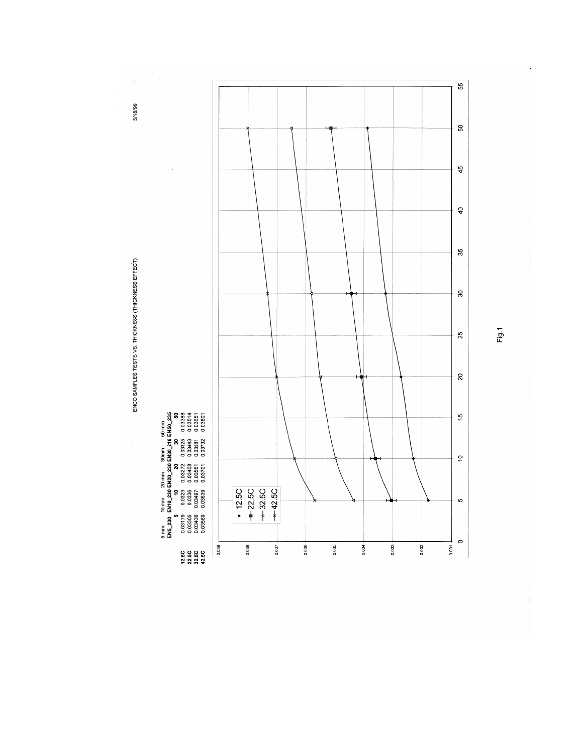ENCO SAMPLES TESTS VS. THICKNESS (THICKNESS EFFECT)

 $\frac{1}{2}$ 

5/18/99



 $\hat{\boldsymbol{\beta}}$ 



Fig.1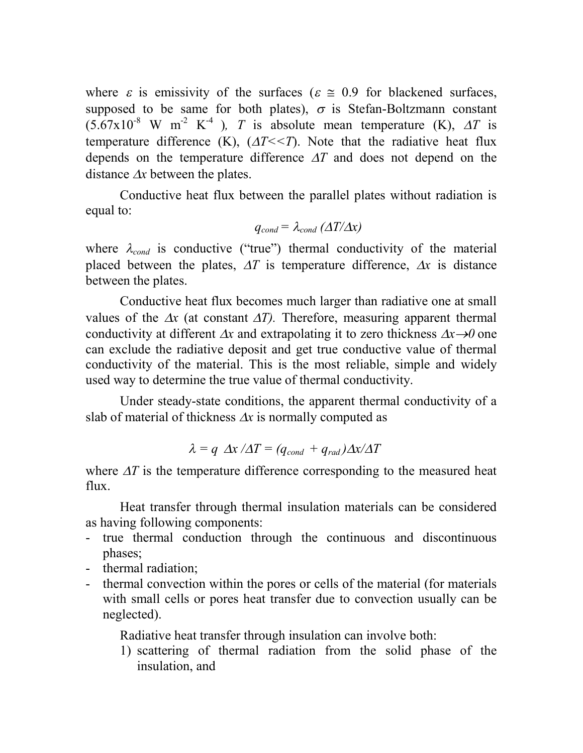where  $\varepsilon$  is emissivity of the surfaces ( $\varepsilon \approx 0.9$  for blackened surfaces, supposed to be same for both plates),  $\sigma$  is Stefan-Boltzmann constant  $(5.67 \times 10^{-8} \text{ W m}^{-2} \text{ K}^{-4})$ , *T* is absolute mean temperature (K), *AT* is temperature difference (K),  $(\Delta T \leq T)$ . Note that the radiative heat flux depends on the temperature difference  $\Delta T$  and does not depend on the distance  $\Delta x$  between the plates.

Conductive heat flux between the parallel plates without radiation is equal to:

$$
q_{cond} = \lambda_{cond} ( \Delta T / \Delta x )
$$

where  $\lambda_{cond}$  is conductive ("true") thermal conductivity of the material placed between the plates,  $\Delta T$  is temperature difference,  $\Delta x$  is distance between the plates.

Conductive heat flux becomes much larger than radiative one at small values of the  $\Delta x$  (at constant  $\Delta T$ ). Therefore, measuring apparent thermal conductivity at different  $\Delta x$  and extrapolating it to zero thickness  $\Delta x \rightarrow 0$  one can exclude the radiative deposit and get true conductive value of thermal conductivity of the material. This is the most reliable, simple and widely used way to determine the true value of thermal conductivity.

Under steady-state conditions, the apparent thermal conductivity of a slab of material of thickness  $\Delta x$  is normally computed as

$$
\lambda = q \Delta x / \Delta T = (q_{cond} + q_{rad}) \Delta x / \Delta T
$$

where  $\Delta T$  is the temperature difference corresponding to the measured heat flux.

Heat transfer through thermal insulation materials can be considered as having following components:

- true thermal conduction through the continuous and discontinuous phases;
- thermal radiation;
- thermal convection within the pores or cells of the material (for materials with small cells or pores heat transfer due to convection usually can be neglected).

Radiative heat transfer through insulation can involve both:

1) scattering of thermal radiation from the solid phase of the insulation, and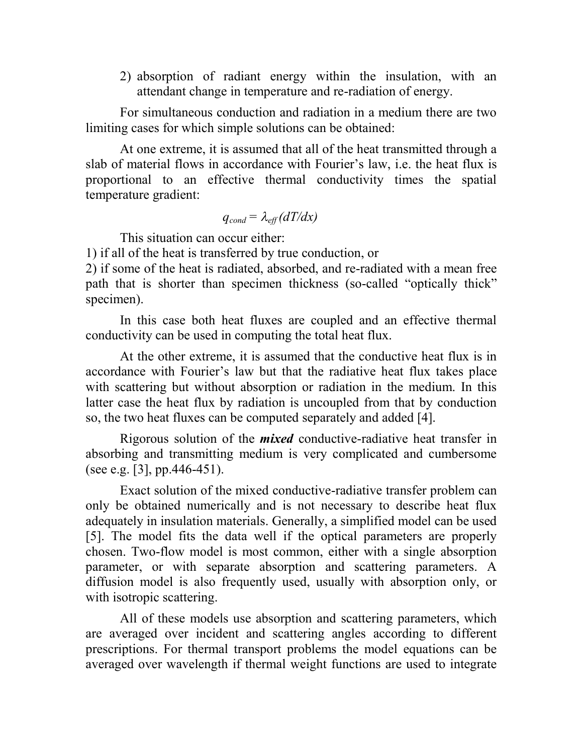2) absorption of radiant energy within the insulation, with an attendant change in temperature and re-radiation of energy.

For simultaneous conduction and radiation in a medium there are two limiting cases for which simple solutions can be obtained:

At one extreme, it is assumed that all of the heat transmitted through a slab of material flows in accordance with Fourier's law, i.e. the heat flux is proportional to an effective thermal conductivity times the spatial temperature gradient:

$$
q_{cond} = \lambda_{eff}(dT/dx)
$$

This situation can occur either:

1) if all of the heat is transferred by true conduction, or

2) if some of the heat is radiated, absorbed, and re-radiated with a mean free path that is shorter than specimen thickness (so-called "optically thick" specimen).

In this case both heat fluxes are coupled and an effective thermal conductivity can be used in computing the total heat flux.

At the other extreme, it is assumed that the conductive heat flux is in accordance with Fourier's law but that the radiative heat flux takes place with scattering but without absorption or radiation in the medium. In this latter case the heat flux by radiation is uncoupled from that by conduction so, the two heat fluxes can be computed separately and added [4].

Rigorous solution of the *mixed* conductive-radiative heat transfer in absorbing and transmitting medium is very complicated and cumbersome (see e.g. [3], pp.446-451).

Exact solution of the mixed conductive-radiative transfer problem can only be obtained numerically and is not necessary to describe heat flux adequately in insulation materials. Generally, a simplified model can be used [5]. The model fits the data well if the optical parameters are properly chosen. Two-flow model is most common, either with a single absorption parameter, or with separate absorption and scattering parameters. A diffusion model is also frequently used, usually with absorption only, or with isotropic scattering.

All of these models use absorption and scattering parameters, which are averaged over incident and scattering angles according to different prescriptions. For thermal transport problems the model equations can be averaged over wavelength if thermal weight functions are used to integrate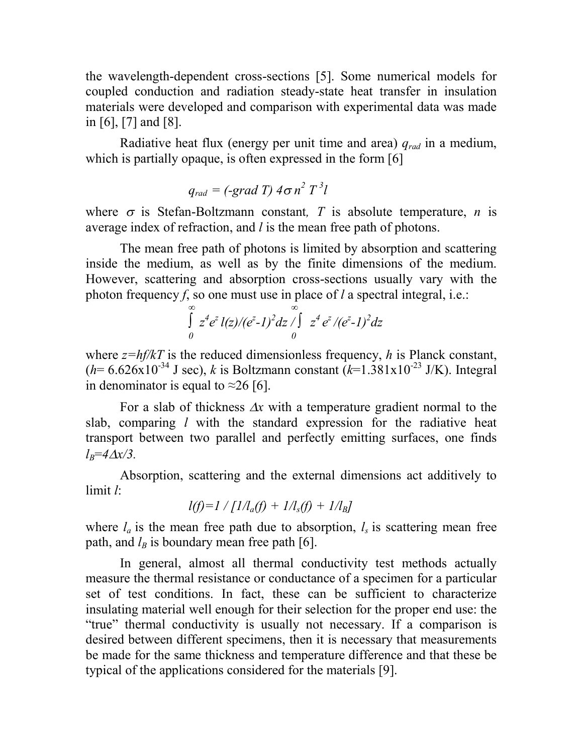the wavelength-dependent cross-sections [5]. Some numerical models for coupled conduction and radiation steady-state heat transfer in insulation materials were developed and comparison with experimental data was made in [6], [7] and [8].

Radiative heat flux (energy per unit time and area) *qrad* in a medium, which is partially opaque, is often expressed in the form [6]

$$
q_{rad} = (-grad T) 4\sigma n^2 T^3 l
$$

where  $\sigma$  is Stefan-Boltzmann constant, T is absolute temperature, *n* is average index of refraction, and *l* is the mean free path of photons.

The mean free path of photons is limited by absorption and scattering inside the medium, as well as by the finite dimensions of the medium. However, scattering and absorption cross-sections usually vary with the photon frequency *f*, so one must use in place of *l* a spectral integral, i.e.:

$$
\int_{0}^{\infty} z^{4} e^{z} l(z)/(e^{z} - 1)^{2} dz \int_{0}^{\infty} z^{4} e^{z} / (e^{z} - 1)^{2} dz
$$

where  $z = hf/kT$  is the reduced dimensionless frequency, *h* is Planck constant,  $(h= 6.626 \times 10^{-34} \text{ J sec})$ , *k* is Boltzmann constant  $(k=1.381 \times 10^{-23} \text{ J/K})$ . Integral in denominator is equal to  $\approx$ 26 [6].

For a slab of thickness  $\Delta x$  with a temperature gradient normal to the slab, comparing *l* with the standard expression for the radiative heat transport between two parallel and perfectly emitting surfaces, one finds  $l_B$ =4 $\Delta$ *x/3.* 

Absorption, scattering and the external dimensions act additively to limit *l*:

$$
l(f)=l\text{ }/\text{ }[1\text{ }/l_{a}(f)+\text{ }1\text{ }/l_{s}(f)+\text{ }1\text{ }/l_{B}]
$$

where  $l_a$  is the mean free path due to absorption,  $l_s$  is scattering mean free path, and  $l_B$  is boundary mean free path [6].

In general, almost all thermal conductivity test methods actually measure the thermal resistance or conductance of a specimen for a particular set of test conditions. In fact, these can be sufficient to characterize insulating material well enough for their selection for the proper end use: the "true" thermal conductivity is usually not necessary. If a comparison is desired between different specimens, then it is necessary that measurements be made for the same thickness and temperature difference and that these be typical of the applications considered for the materials [9].